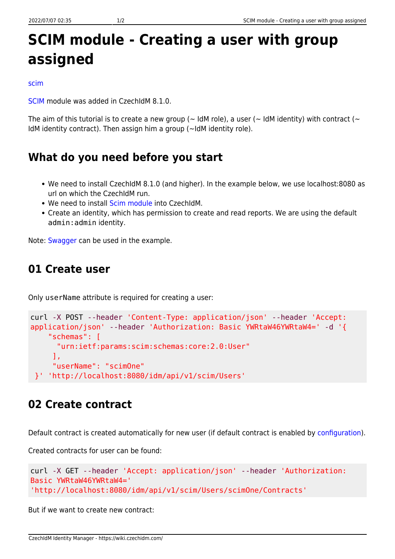# **SCIM module - Creating a user with group assigned**

#### [scim](https://wiki.czechidm.com/tag/scim?do=showtag&tag=scim)

[SCIM](https://wiki.czechidm.com/devel/documentation/modules_scim) module was added in CzechIdM 8.1.0.

The aim of this tutorial is to create a new group ( $\sim$  IdM role), a user ( $\sim$  IdM identity) with contract ( $\sim$ IdM identity contract). Then assign him a group (~IdM identity role).

#### **What do you need before you start**

- We need to install CzechIdM 8.1.0 (and higher). In the example below, we use localhost:8080 as url on which the CzechIdM run.
- We need to install [Scim module](https://wiki.czechidm.com/devel/documentation/modules_scim) into CzechIdM.
- Create an identity, which has permission to create and read reports. We are using the default admin:admin identity.

Note: [Swagger](https://wiki.czechidm.com/devel/documentation/modules_scim#swagger) can be used in the example.

### **01 Create user**

Only userName attribute is required for creating a user:

```
curl -X POST --header 'Content-Type: application/json' --header 'Accept:
application/json' --header 'Authorization: Basic YWRtaW46YWRtaW4=' -d '{
     "schemas": [
       "urn:ietf:params:scim:schemas:core:2.0:User"
      ],
      "userName": "scimOne"
 }' 'http://localhost:8080/idm/api/v1/scim/Users'
```
#### **02 Create contract**

Default contract is created automatically for new user (if default contract is enabled by [configuration](https://wiki.czechidm.com/tutorial/dev/application_configuration/dev/backend#identity)).

Created contracts for user can be found:

```
curl -X GET --header 'Accept: application/json' --header 'Authorization:
Basic YWRtaW46YWRtaW4='
'http://localhost:8080/idm/api/v1/scim/Users/scimOne/Contracts'
```
But if we want to create new contract: